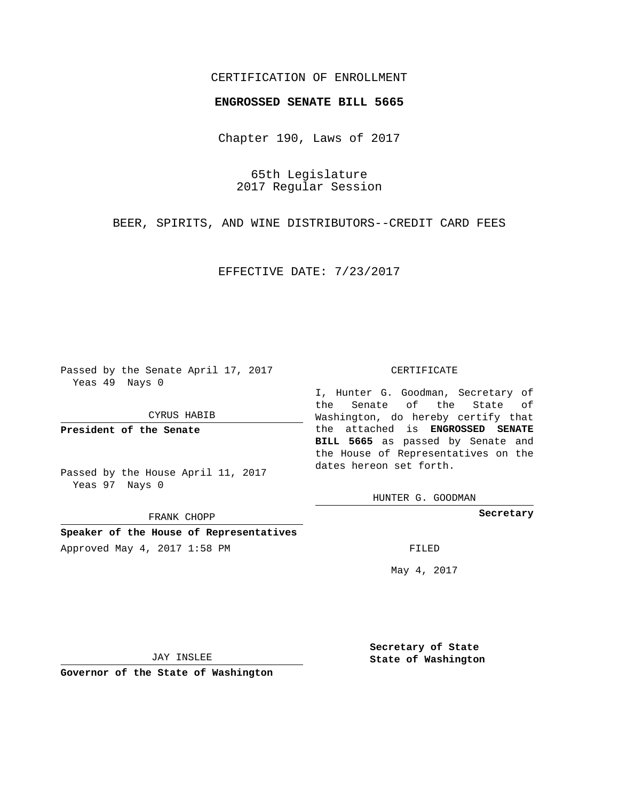## CERTIFICATION OF ENROLLMENT

### **ENGROSSED SENATE BILL 5665**

Chapter 190, Laws of 2017

65th Legislature 2017 Regular Session

BEER, SPIRITS, AND WINE DISTRIBUTORS--CREDIT CARD FEES

EFFECTIVE DATE: 7/23/2017

Passed by the Senate April 17, 2017 Yeas 49 Nays 0

CYRUS HABIB

**President of the Senate**

Passed by the House April 11, 2017 Yeas 97 Nays 0

FRANK CHOPP

**Speaker of the House of Representatives** Approved May 4, 2017 1:58 PM FILED

#### CERTIFICATE

I, Hunter G. Goodman, Secretary of the Senate of the State of Washington, do hereby certify that the attached is **ENGROSSED SENATE BILL 5665** as passed by Senate and the House of Representatives on the dates hereon set forth.

HUNTER G. GOODMAN

**Secretary**

May 4, 2017

JAY INSLEE

**Governor of the State of Washington**

**Secretary of State State of Washington**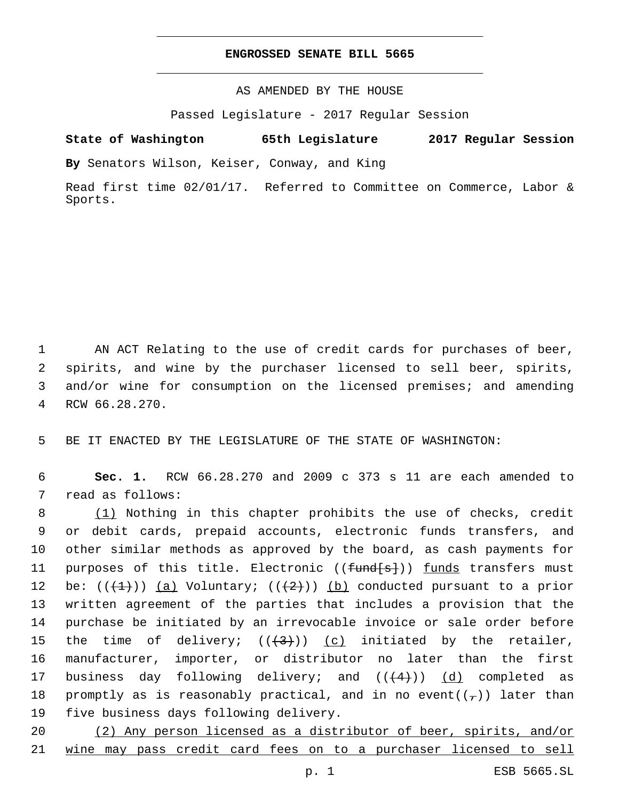## **ENGROSSED SENATE BILL 5665**

AS AMENDED BY THE HOUSE

Passed Legislature - 2017 Regular Session

# **State of Washington 65th Legislature 2017 Regular Session**

**By** Senators Wilson, Keiser, Conway, and King

Read first time 02/01/17. Referred to Committee on Commerce, Labor & Sports.

 AN ACT Relating to the use of credit cards for purchases of beer, spirits, and wine by the purchaser licensed to sell beer, spirits, and/or wine for consumption on the licensed premises; and amending 4 RCW 66.28.270.

5 BE IT ENACTED BY THE LEGISLATURE OF THE STATE OF WASHINGTON:

6 **Sec. 1.** RCW 66.28.270 and 2009 c 373 s 11 are each amended to 7 read as follows:

8 (1) Nothing in this chapter prohibits the use of checks, credit 9 or debit cards, prepaid accounts, electronic funds transfers, and 10 other similar methods as approved by the board, as cash payments for 11 purposes of this title. Electronic ((<del>fund[s]</del>)) <u>funds</u> transfers must 12 be:  $((+1))$  (a) Voluntary;  $((+2))$  (b) conducted pursuant to a prior 13 written agreement of the parties that includes a provision that the 14 purchase be initiated by an irrevocable invoice or sale order before 15 the time of delivery;  $((+3))$   $(c)$  initiated by the retailer, 16 manufacturer, importer, or distributor no later than the first 17 business day following delivery; and  $((+4))$   $(d)$  completed as 18 promptly as is reasonably practical, and in no event( $(\tau)$ ) later than 19 five business days following delivery.

20 (2) Any person licensed as a distributor of beer, spirits, and/or 21 wine may pass credit card fees on to a purchaser licensed to sell